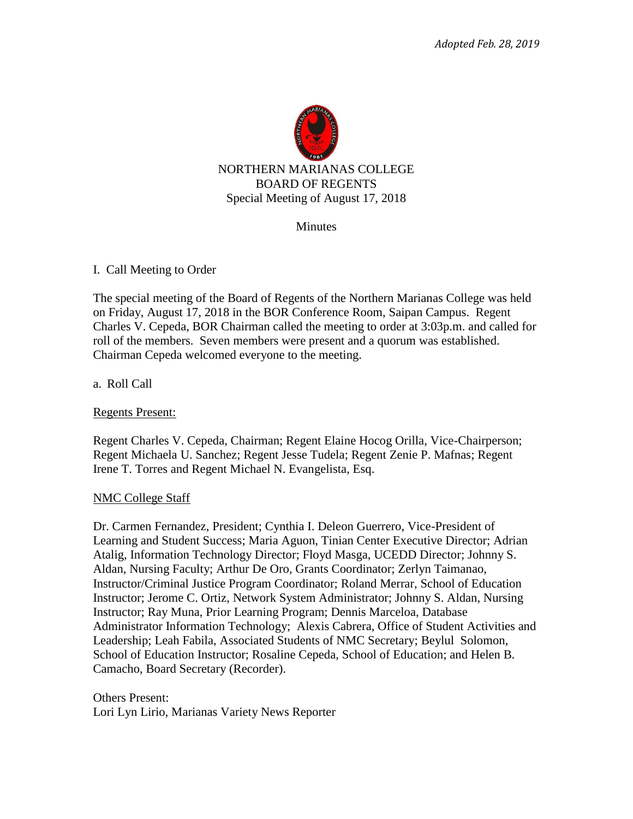

### **Minutes**

### I. Call Meeting to Order

The special meeting of the Board of Regents of the Northern Marianas College was held on Friday, August 17, 2018 in the BOR Conference Room, Saipan Campus. Regent Charles V. Cepeda, BOR Chairman called the meeting to order at 3:03p.m. and called for roll of the members. Seven members were present and a quorum was established. Chairman Cepeda welcomed everyone to the meeting.

a. Roll Call

Regents Present:

Regent Charles V. Cepeda, Chairman; Regent Elaine Hocog Orilla, Vice-Chairperson; Regent Michaela U. Sanchez; Regent Jesse Tudela; Regent Zenie P. Mafnas; Regent Irene T. Torres and Regent Michael N. Evangelista, Esq.

### NMC College Staff

Dr. Carmen Fernandez, President; Cynthia I. Deleon Guerrero, Vice-President of Learning and Student Success; Maria Aguon, Tinian Center Executive Director; Adrian Atalig, Information Technology Director; Floyd Masga, UCEDD Director; Johnny S. Aldan, Nursing Faculty; Arthur De Oro, Grants Coordinator; Zerlyn Taimanao, Instructor/Criminal Justice Program Coordinator; Roland Merrar, School of Education Instructor; Jerome C. Ortiz, Network System Administrator; Johnny S. Aldan, Nursing Instructor; Ray Muna, Prior Learning Program; Dennis Marceloa, Database Administrator Information Technology; Alexis Cabrera, Office of Student Activities and Leadership; Leah Fabila, Associated Students of NMC Secretary; Beylul Solomon, School of Education Instructor; Rosaline Cepeda, School of Education; and Helen B. Camacho, Board Secretary (Recorder).

Others Present: Lori Lyn Lirio, Marianas Variety News Reporter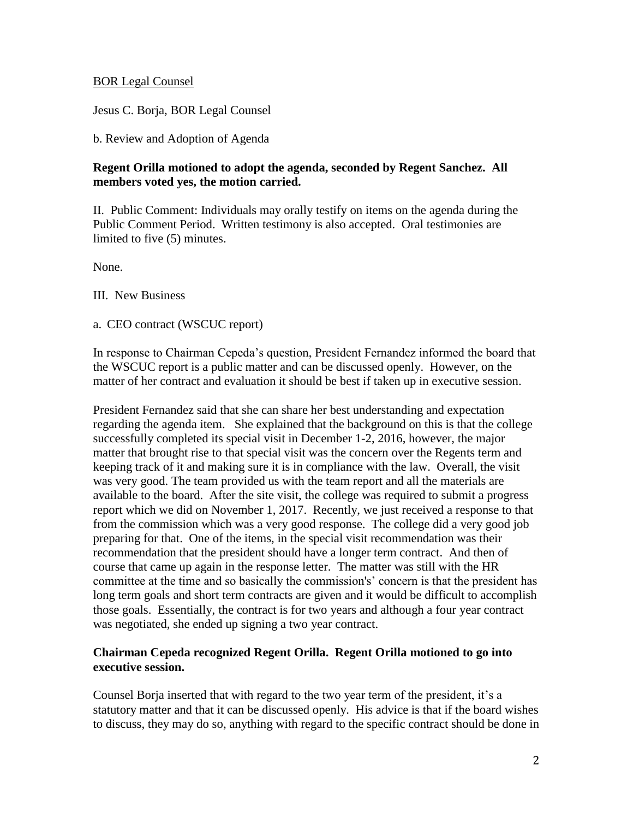## BOR Legal Counsel

Jesus C. Borja, BOR Legal Counsel

b. Review and Adoption of Agenda

# **Regent Orilla motioned to adopt the agenda, seconded by Regent Sanchez. All members voted yes, the motion carried.**

II. Public Comment: Individuals may orally testify on items on the agenda during the Public Comment Period. Written testimony is also accepted. Oral testimonies are limited to five (5) minutes.

None.

III. New Business

a. CEO contract (WSCUC report)

In response to Chairman Cepeda's question, President Fernandez informed the board that the WSCUC report is a public matter and can be discussed openly. However, on the matter of her contract and evaluation it should be best if taken up in executive session.

President Fernandez said that she can share her best understanding and expectation regarding the agenda item. She explained that the background on this is that the college successfully completed its special visit in December 1-2, 2016, however, the major matter that brought rise to that special visit was the concern over the Regents term and keeping track of it and making sure it is in compliance with the law. Overall, the visit was very good. The team provided us with the team report and all the materials are available to the board. After the site visit, the college was required to submit a progress report which we did on November 1, 2017. Recently, we just received a response to that from the commission which was a very good response. The college did a very good job preparing for that. One of the items, in the special visit recommendation was their recommendation that the president should have a longer term contract. And then of course that came up again in the response letter. The matter was still with the HR committee at the time and so basically the commission's' concern is that the president has long term goals and short term contracts are given and it would be difficult to accomplish those goals. Essentially, the contract is for two years and although a four year contract was negotiated, she ended up signing a two year contract.

## **Chairman Cepeda recognized Regent Orilla. Regent Orilla motioned to go into executive session.**

Counsel Borja inserted that with regard to the two year term of the president, it's a statutory matter and that it can be discussed openly. His advice is that if the board wishes to discuss, they may do so, anything with regard to the specific contract should be done in